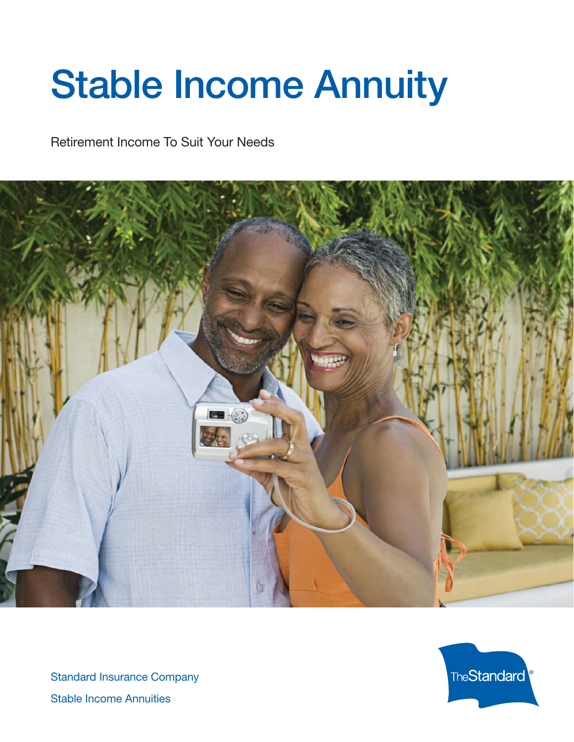# Stable Income Annuity

Retirement Income To Suit Your Needs





Standard Insurance Company Stable Income Annuities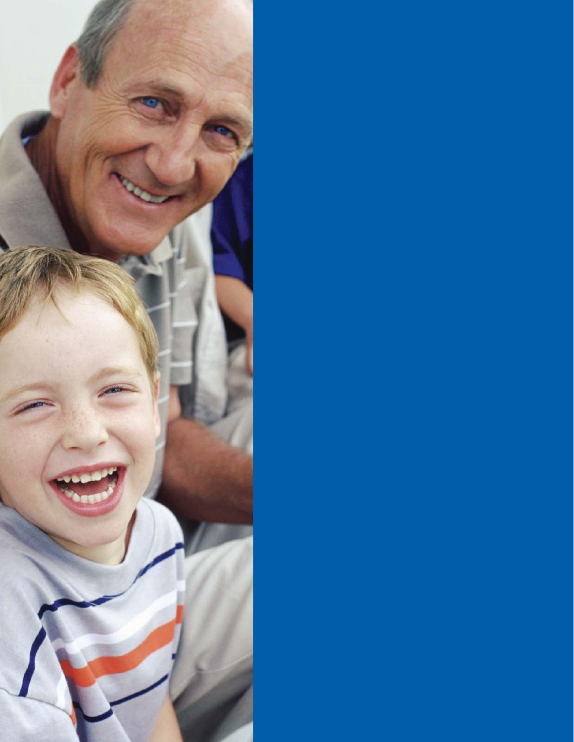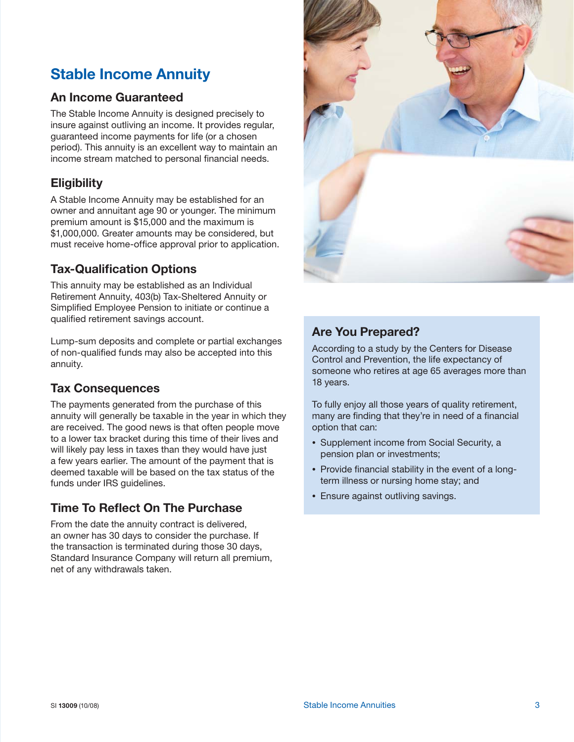# **Stable Income Annuity**

## **An Income Guaranteed**

The Stable Income Annuity is designed precisely to insure against outliving an income. It provides regular, guaranteed income payments for life (or a chosen period). This annuity is an excellent way to maintain an income stream matched to personal financial needs.

# **Eligibility**

A Stable Income Annuity may be established for an owner and annuitant age 90 or younger. The minimum premium amount is \$15,000 and the maximum is \$1,000,000. Greater amounts may be considered, but must receive home-office approval prior to application.

# **Tax-Qualification Options**

This annuity may be established as an Individual Retirement Annuity, 403(b) Tax-Sheltered Annuity or Simplified Employee Pension to initiate or continue a qualified retirement savings account.

Lump-sum deposits and complete or partial exchanges of non-qualified funds may also be accepted into this annuity.

## **Tax Consequences**

The payments generated from the purchase of this annuity will generally be taxable in the year in which they are received. The good news is that often people move to a lower tax bracket during this time of their lives and will likely pay less in taxes than they would have just a few years earlier. The amount of the payment that is deemed taxable will be based on the tax status of the funds under IRS guidelines.

# **Time To Reflect On The Purchase**

From the date the annuity contract is delivered, an owner has 30 days to consider the purchase. If the transaction is terminated during those 30 days, Standard Insurance Company will return all premium, net of any withdrawals taken.



# **Are You Prepared?**

According to a study by the Centers for Disease Control and Prevention, the life expectancy of someone who retires at age 65 averages more than 18 years.

To fully enjoy all those years of quality retirement, many are finding that they're in need of a financial option that can:

- Supplement income from Social Security, a pension plan or investments;
- Provide financial stability in the event of a longterm illness or nursing home stay; and
- Ensure against outliving savings.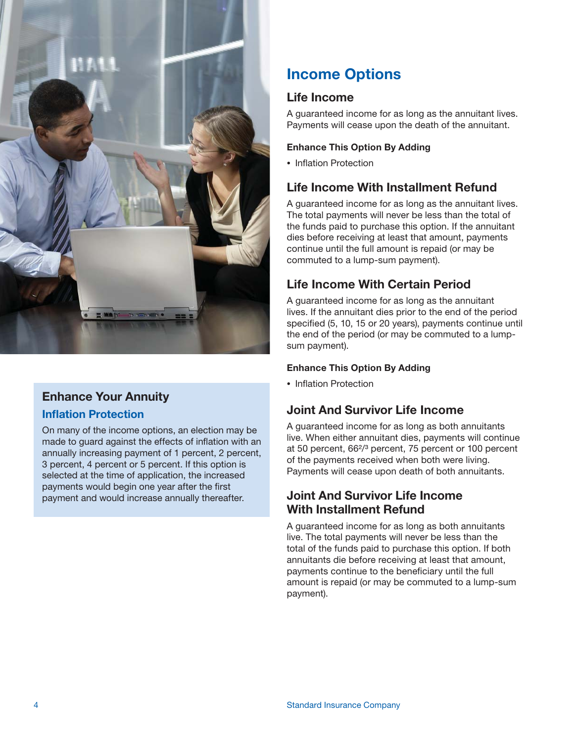

# **Enhance Your Annuity**

#### **Inflation Protection**

On many of the income options, an election may be made to quard against the effects of inflation with an annually increasing payment of 1 percent, 2 percent, 3 percent, 4 percent or 5 percent. If this option is selected at the time of application, the increased payments would begin one year after the first payment and would increase annually thereafter.

# **Income Options**

## **Life Income**

A guaranteed income for as long as the annuitant lives. Payments will cease upon the death of the annuitant.

#### **Enhance This Option By Adding**

• Inflation Protection

# **Life Income With Installment Refund**

A guaranteed income for as long as the annuitant lives. The total payments will never be less than the total of the funds paid to purchase this option. If the annuitant dies before receiving at least that amount, payments continue until the full amount is repaid (or may be commuted to a lump-sum payment).

# **Life Income With Certain Period**

A guaranteed income for as long as the annuitant lives. If the annuitant dies prior to the end of the period specified (5, 10, 15 or 20 years), payments continue until the end of the period (or may be commuted to a lumpsum payment).

#### **Enhance This Option By Adding**

• Inflation Protection

# **Joint And Survivor Life Income**

A guaranteed income for as long as both annuitants live. When either annuitant dies, payments will continue at 50 percent, 66²/³ percent, 75 percent or 100 percent of the payments received when both were living. Payments will cease upon death of both annuitants.

# **Joint And Survivor Life Income With Installment Refund**

A guaranteed income for as long as both annuitants live. The total payments will never be less than the total of the funds paid to purchase this option. If both annuitants die before receiving at least that amount, payments continue to the beneficiary until the full amount is repaid (or may be commuted to a lump-sum payment).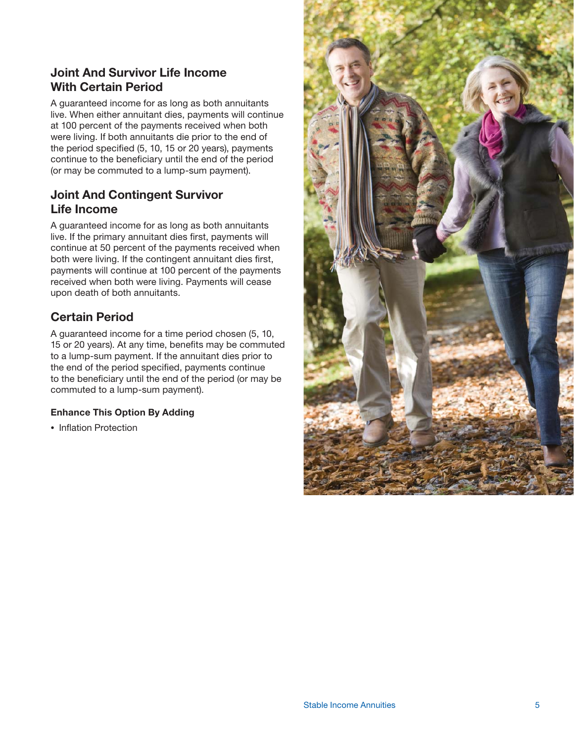# **Joint And Survivor Life Income With Certain Period**

A guaranteed income for as long as both annuitants live. When either annuitant dies, payments will continue at 100 percent of the payments received when both were living. If both annuitants die prior to the end of the period specified (5, 10, 15 or 20 years), payments continue to the beneficiary until the end of the period (or may be commuted to a lump-sum payment).

# **Joint And Contingent Survivor Life Income**

A guaranteed income for as long as both annuitants live. If the primary annuitant dies first, payments will continue at 50 percent of the payments received when both were living. If the contingent annuitant dies first, payments will continue at 100 percent of the payments received when both were living. Payments will cease upon death of both annuitants.

# **Certain Period**

A guaranteed income for a time period chosen (5, 10, 15 or 20 years). At any time, benefits may be commuted to a lump-sum payment. If the annuitant dies prior to the end of the period specified, payments continue to the beneficiary until the end of the period (or may be commuted to a lump-sum payment).

#### **Enhance This Option By Adding**

• Inflation Protection

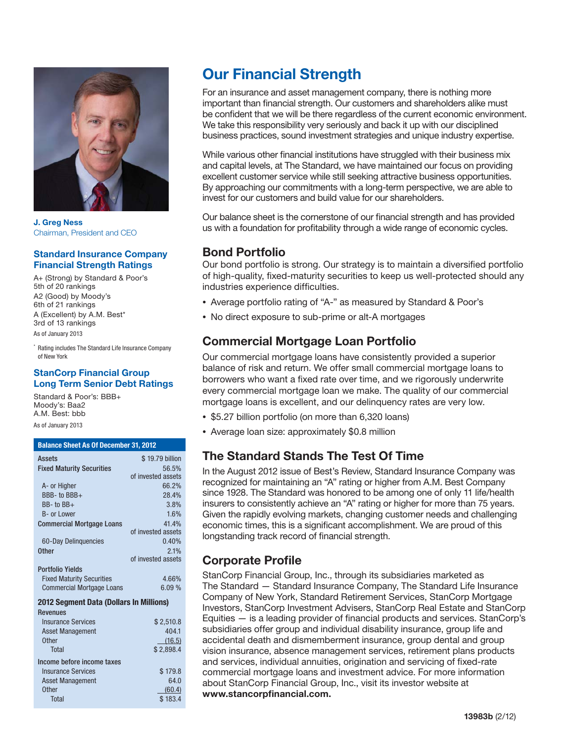

**J. Greg Ness** Chairman, President and CEO

#### **Standard Insurance Company Financial Strength Ratings**

A+ (Strong) by Standard & Poor's 5th of 20 rankings A2 (Good) by Moody's 6th of 21 rankings A (Excellent) by A.M. Best\* 3rd of 13 rankings As of January 2013

\* Rating includes The Standard Life Insurance Company of New York

#### **StanCorp Financial Group Long Term Senior Debt Ratings**

Standard & Poor's: BBB+ Moody's: Baa2 A.M. Best: bbb As of January 2013

| <b>Balance Sheet As Of December 31, 2012</b> |                    |
|----------------------------------------------|--------------------|
| Assets                                       | \$19.79 billion    |
| <b>Fixed Maturity Securities</b>             | 56.5%              |
|                                              | of invested assets |
| A- or Higher                                 | 66.2%              |
| BBB-to BBB+                                  | 28.4%              |
| $BB-$ to $BB+$                               | 3.8%               |
| B- or Lower                                  | 1.6%               |
| <b>Commercial Mortgage Loans</b>             | 41.4%              |
|                                              | of invested assets |
| 60-Day Delinguencies                         | 0.40%              |
| <b>Other</b>                                 | 2.1%               |
|                                              | of invested assets |
| <b>Portfolio Yields</b>                      |                    |
| <b>Fixed Maturity Securities</b>             | 4.66%              |
| <b>Commercial Mortgage Loans</b>             | 6.09%              |
| 2012 Segment Data (Dollars In Millions)      |                    |
| <b>Revenues</b>                              |                    |
| <b>Insurance Services</b>                    | \$2,510.8          |
| <b>Asset Management</b>                      | 404.1              |
| <b>Other</b>                                 | (16.5)             |
| <b>Total</b>                                 | \$2,898.4          |
| Income before income taxes                   |                    |
| <b>Insurance Services</b>                    | \$179.8            |
| <b>Asset Management</b>                      | 64.0               |
| Other                                        | (60.4)             |

Total \$ 183.4

# **Our Financial Strength**

For an insurance and asset management company, there is nothing more important than financial strength. Our customers and shareholders alike must be confident that we will be there regardless of the current economic environment. We take this responsibility very seriously and back it up with our disciplined business practices, sound investment strategies and unique industry expertise.

While various other financial institutions have struggled with their business mix and capital levels, at The Standard, we have maintained our focus on providing excellent customer service while still seeking attractive business opportunities. By approaching our commitments with a long-term perspective, we are able to invest for our customers and build value for our shareholders.

Our balance sheet is the cornerstone of our financial strength and has provided us with a foundation for profitability through a wide range of economic cycles.

# **Bond Portfolio**

Our bond portfolio is strong. Our strategy is to maintain a diversified portfolio of high-quality, fixed-maturity securities to keep us well-protected should any industries experience difficulties.

- Average portfolio rating of "A-" as measured by Standard & Poor's
- No direct exposure to sub-prime or alt-A mortgages

# **Commercial Mortgage Loan Portfolio**

Our commercial mortgage loans have consistently provided a superior balance of risk and return. We offer small commercial mortgage loans to borrowers who want a fixed rate over time, and we rigorously underwrite every commercial mortgage loan we make. The quality of our commercial mortgage loans is excellent, and our delinquency rates are very low.

- \$5.27 billion portfolio (on more than 6,320 loans)
- Average loan size: approximately \$0.8 million

# **The Standard Stands The Test Of Time**

In the August 2012 issue of Best's Review, Standard Insurance Company was recognized for maintaining an "A" rating or higher from A.M. Best Company since 1928. The Standard was honored to be among one of only 11 life/health insurers to consistently achieve an "A" rating or higher for more than 75 years. Given the rapidly evolving markets, changing customer needs and challenging economic times, this is a significant accomplishment. We are proud of this longstanding track record of financial strength.

# **Corporate Profile**

StanCorp Financial Group, Inc., through its subsidiaries marketed as The Standard — Standard Insurance Company, The Standard Life Insurance Company of New York, Standard Retirement Services, StanCorp Mortgage Investors, StanCorp Investment Advisers, StanCorp Real Estate and StanCorp Equities  $-$  is a leading provider of financial products and services. StanCorp's subsidiaries offer group and individual disability insurance, group life and accidental death and dismemberment insurance, group dental and group vision insurance, absence management services, retirement plans products and services, individual annuities, origination and servicing of fixed-rate commercial mortgage loans and investment advice. For more information about StanCorp Financial Group, Inc., visit its investor website at www.stancorpfinancial.com.